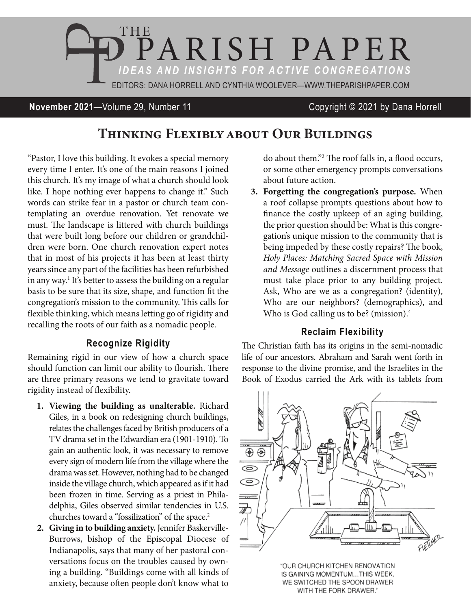

## **November 2021**—Volume 29, Number 11 Copyright © 2021 by Dana Horrell

# Thinking Flexibly about Our Buildings

"Pastor, I love this building. It evokes a special memory every time I enter. It's one of the main reasons I joined this church. It's my image of what a church should look like. I hope nothing ever happens to change it." Such words can strike fear in a pastor or church team contemplating an overdue renovation. Yet renovate we must. The landscape is littered with church buildings that were built long before our children or grandchildren were born. One church renovation expert notes that in most of his projects it has been at least thirty years since any part of the facilities has been refurbished in any way.1 It's better to assess the building on a regular basis to be sure that its size, shape, and function fit the congregation's mission to the community. This calls for flexible thinking, which means letting go of rigidity and recalling the roots of our faith as a nomadic people.

### **Recognize Rigidity**

Remaining rigid in our view of how a church space should function can limit our ability to flourish. There are three primary reasons we tend to gravitate toward rigidity instead of flexibility.

- **1. Viewing the building as unalterable.** Richard Giles, in a book on redesigning church buildings, relates the challenges faced by British producers of a TV drama set in the Edwardian era (1901-1910). To gain an authentic look, it was necessary to remove every sign of modern life from the village where the drama was set. However, nothing had to be changed inside the village church, which appeared as if it had been frozen in time. Serving as a priest in Philadelphia, Giles observed similar tendencies in U.S. churches toward a "fossilization" of the space.<sup>2</sup>
- **2. Giving in to building anxiety.** Jennifer Baskerville-Burrows, bishop of the Episcopal Diocese of Indianapolis, says that many of her pastoral conversations focus on the troubles caused by owning a building. "Buildings come with all kinds of anxiety, because often people don't know what to

do about them."3 The roof falls in, a flood occurs, or some other emergency prompts conversations about future action.

**3. Forgetting the congregation's purpose.** When a roof collapse prompts questions about how to finance the costly upkeep of an aging building, the prior question should be: What is this congregation's unique mission to the community that is being impeded by these costly repairs? The book, *Holy Places: Matching Sacred Space with Mission and Message* outlines a discernment process that must take place prior to any building project. Ask, Who are we as a congregation? (identity), Who are our neighbors? (demographics), and Who is God calling us to be? (mission).<sup>4</sup>

#### **Reclaim Flexibility**

The Christian faith has its origins in the semi-nomadic life of our ancestors. Abraham and Sarah went forth in response to the divine promise, and the Israelites in the Book of Exodus carried the Ark with its tablets from



"OUR CHURCH KITCHEN RENOVATION IS GAINING MOMENTUM...THIS WEEK, WE SWITCHED THE SPOON DRAWER WITH THE FORK DRAWER."